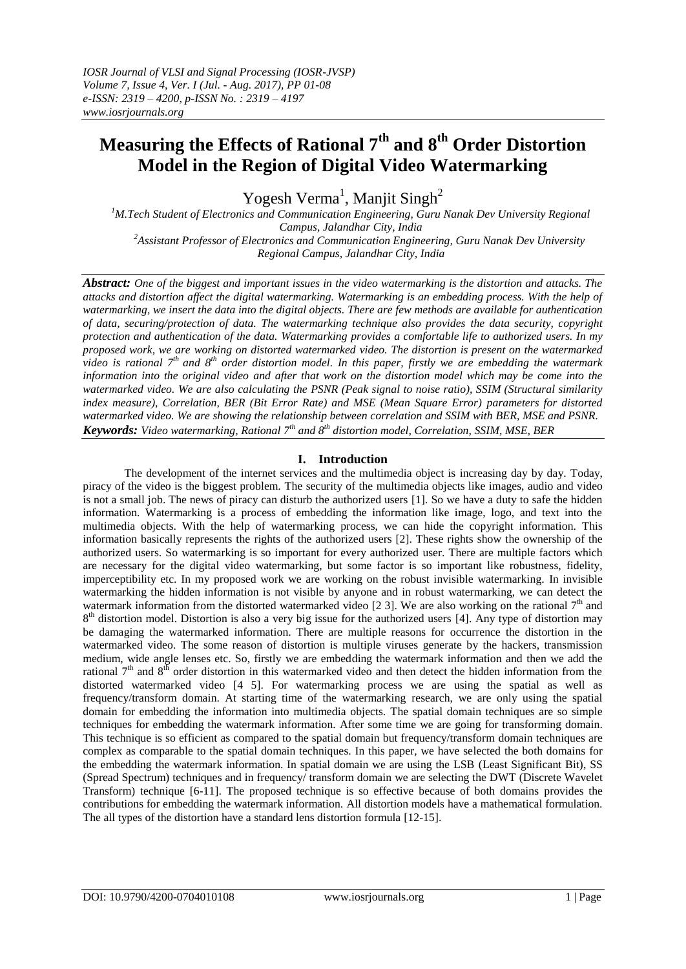# **Measuring the Effects of Rational 7th and 8th Order Distortion Model in the Region of Digital Video Watermarking**

Yogesh Verma<sup>1</sup>, Manjit Singh<sup>2</sup>

<sup>1</sup>M.Tech Student of Electronics and Communication Engineering, Guru Nanak Dev University Regional *Campus, Jalandhar City, India <sup>2</sup>Assistant Professor of Electronics and Communication Engineering, Guru Nanak Dev University Regional Campus, Jalandhar City, India*

*Abstract: One of the biggest and important issues in the video watermarking is the distortion and attacks. The attacks and distortion affect the digital watermarking. Watermarking is an embedding process. With the help of watermarking, we insert the data into the digital objects. There are few methods are available for authentication of data, securing/protection of data. The watermarking technique also provides the data security, copyright protection and authentication of the data. Watermarking provides a comfortable life to authorized users. In my proposed work, we are working on distorted watermarked video. The distortion is present on the watermarked video is rational 7 th and 8 th order distortion model. In this paper, firstly we are embedding the watermark information into the original video and after that work on the distortion model which may be come into the watermarked video. We are also calculating the PSNR (Peak signal to noise ratio), SSIM (Structural similarity index measure), Correlation, BER (Bit Error Rate) and MSE (Mean Square Error) parameters for distorted watermarked video. We are showing the relationship between correlation and SSIM with BER, MSE and PSNR. Keywords: Video watermarking, Rational 7th and 8th distortion model, Correlation, SSIM, MSE, BER*

# **I. Introduction**

The development of the internet services and the multimedia object is increasing day by day. Today, piracy of the video is the biggest problem. The security of the multimedia objects like images, audio and video is not a small job. The news of piracy can disturb the authorized users [1]. So we have a duty to safe the hidden information. Watermarking is a process of embedding the information like image, logo, and text into the multimedia objects. With the help of watermarking process, we can hide the copyright information. This information basically represents the rights of the authorized users [2]. These rights show the ownership of the authorized users. So watermarking is so important for every authorized user. There are multiple factors which are necessary for the digital video watermarking, but some factor is so important like robustness, fidelity, imperceptibility etc. In my proposed work we are working on the robust invisible watermarking. In invisible watermarking the hidden information is not visible by anyone and in robust watermarking, we can detect the watermark information from the distorted watermarked video [2 3]. We are also working on the rational  $7<sup>th</sup>$  and 8<sup>th</sup> distortion model. Distortion is also a very big issue for the authorized users [4]. Any type of distortion may be damaging the watermarked information. There are multiple reasons for occurrence the distortion in the watermarked video. The some reason of distortion is multiple viruses generate by the hackers, transmission medium, wide angle lenses etc. So, firstly we are embedding the watermark information and then we add the rational  $7<sup>th</sup>$  and  $8<sup>th</sup>$  order distortion in this watermarked video and then detect the hidden information from the distorted watermarked video [4 5]. For watermarking process we are using the spatial as well as frequency/transform domain. At starting time of the watermarking research, we are only using the spatial domain for embedding the information into multimedia objects. The spatial domain techniques are so simple techniques for embedding the watermark information. After some time we are going for transforming domain. This technique is so efficient as compared to the spatial domain but frequency/transform domain techniques are complex as comparable to the spatial domain techniques. In this paper, we have selected the both domains for the embedding the watermark information. In spatial domain we are using the LSB (Least Significant Bit), SS (Spread Spectrum) techniques and in frequency/ transform domain we are selecting the DWT (Discrete Wavelet Transform) technique [6-11]. The proposed technique is so effective because of both domains provides the contributions for embedding the watermark information. All distortion models have a mathematical formulation. The all types of the distortion have a standard lens distortion formula [12-15].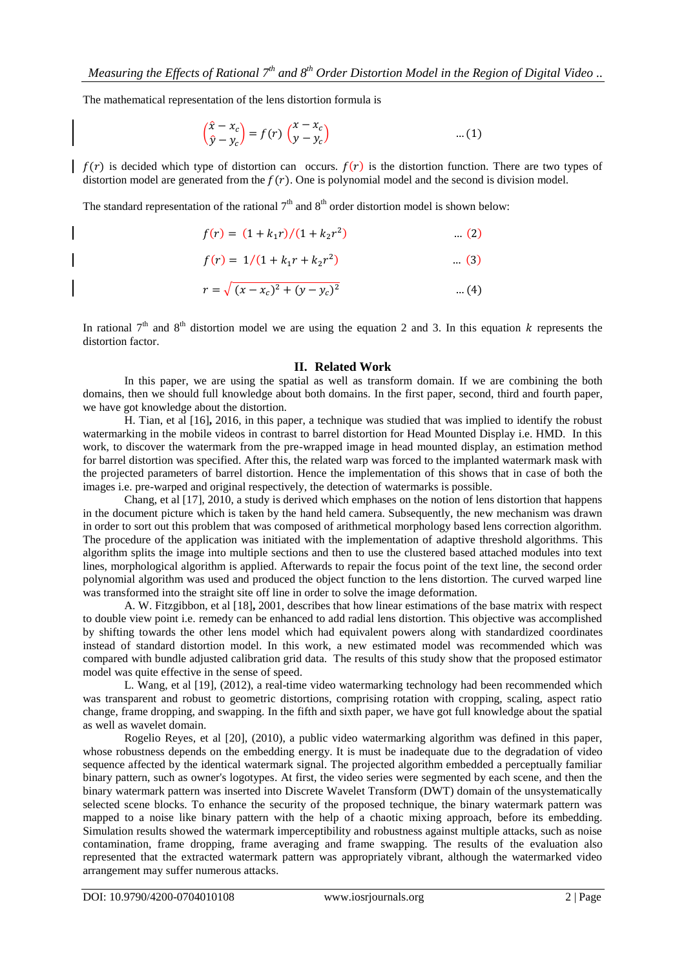The mathematical representation of the lens distortion formula is

$$
\begin{pmatrix} \hat{x} - x_c \\ \hat{y} - y_c \end{pmatrix} = f(r) \begin{pmatrix} x - x_c \\ y - y_c \end{pmatrix}
$$
 ... (1)

 $\int f(r)$  is decided which type of distortion can occurs.  $f(r)$  is the distortion function. There are two types of distortion model are generated from the  $f(r)$ . One is polynomial model and the second is division model.

The standard representation of the rational  $7<sup>th</sup>$  and  $8<sup>th</sup>$  order distortion model is shown below:

$$
f(r) = (1 + k_1 r)/(1 + k_2 r^2) \qquad \dots (2)
$$
  

$$
f(r) = 1/(1 + k_1 r + k_2 r^2) \qquad \dots (3)
$$

$$
r = \sqrt{(x - x_c)^2 + (y - y_c)^2}
$$
 ... (4)

In rational  $7<sup>th</sup>$  and  $8<sup>th</sup>$  distortion model we are using the equation 2 and 3. In this equation k represents the distortion factor.

#### **II. Related Work**

In this paper, we are using the spatial as well as transform domain. If we are combining the both domains, then we should full knowledge about both domains. In the first paper, second, third and fourth paper, we have got knowledge about the distortion.

H. Tian, et al [16]**,** 2016, in this paper, a technique was studied that was implied to identify the robust watermarking in the mobile videos in contrast to barrel distortion for Head Mounted Display i.e. HMD. In this work, to discover the watermark from the pre-wrapped image in head mounted display, an estimation method for barrel distortion was specified. After this, the related warp was forced to the implanted watermark mask with the projected parameters of barrel distortion. Hence the implementation of this shows that in case of both the images i.e. pre-warped and original respectively, the detection of watermarks is possible.

Chang, et al [17], 2010, a study is derived which emphases on the notion of lens distortion that happens in the document picture which is taken by the hand held camera. Subsequently, the new mechanism was drawn in order to sort out this problem that was composed of arithmetical morphology based lens correction algorithm. The procedure of the application was initiated with the implementation of adaptive threshold algorithms. This algorithm splits the image into multiple sections and then to use the clustered based attached modules into text lines, morphological algorithm is applied. Afterwards to repair the focus point of the text line, the second order polynomial algorithm was used and produced the object function to the lens distortion. The curved warped line was transformed into the straight site off line in order to solve the image deformation.

A. W. Fitzgibbon, et al [18]**,** 2001, describes that how linear estimations of the base matrix with respect to double view point i.e. remedy can be enhanced to add radial lens distortion. This objective was accomplished by shifting towards the other lens model which had equivalent powers along with standardized coordinates instead of standard distortion model. In this work, a new estimated model was recommended which was compared with bundle adjusted calibration grid data. The results of this study show that the proposed estimator model was quite effective in the sense of speed.

L. Wang, et al [19], (2012), a real-time video watermarking technology had been recommended which was transparent and robust to geometric distortions, comprising rotation with cropping, scaling, aspect ratio change, frame dropping, and swapping. In the fifth and sixth paper, we have got full knowledge about the spatial as well as wavelet domain.

Rogelio Reyes, et al [20], (2010), a public video watermarking algorithm was defined in this paper, whose robustness depends on the embedding energy. It is must be inadequate due to the degradation of video sequence affected by the identical watermark signal. The projected algorithm embedded a perceptually familiar binary pattern, such as owner's logotypes. At first, the video series were segmented by each scene, and then the binary watermark pattern was inserted into Discrete Wavelet Transform (DWT) domain of the unsystematically selected scene blocks. To enhance the security of the proposed technique, the binary watermark pattern was mapped to a noise like binary pattern with the help of a chaotic mixing approach, before its embedding. Simulation results showed the watermark imperceptibility and robustness against multiple attacks, such as noise contamination, frame dropping, frame averaging and frame swapping. The results of the evaluation also represented that the extracted watermark pattern was appropriately vibrant, although the watermarked video arrangement may suffer numerous attacks.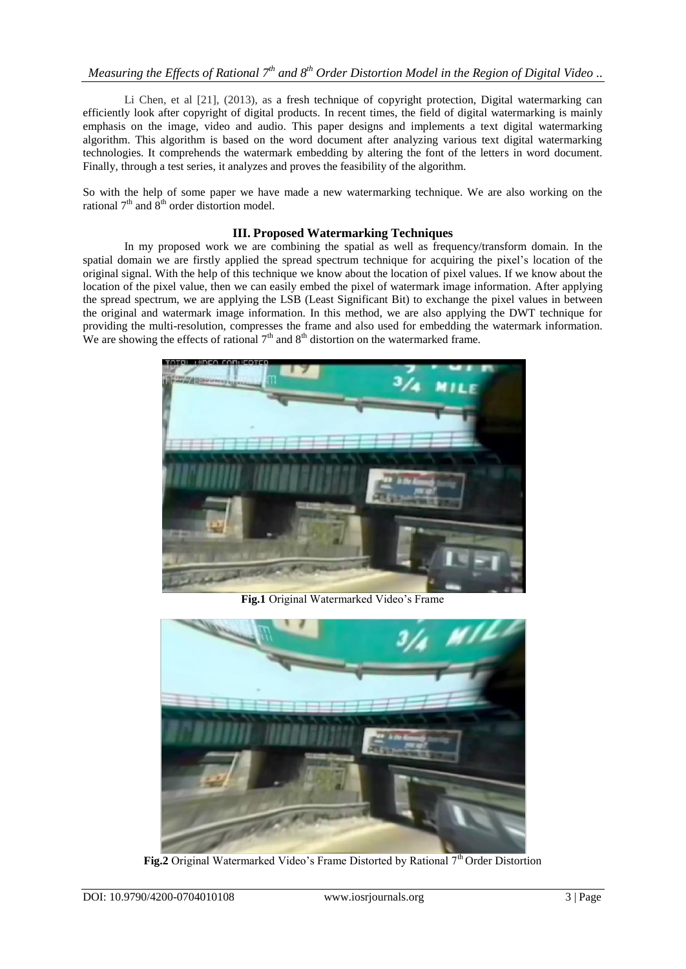Li Chen, et al [21], (2013), as a fresh technique of copyright protection, Digital watermarking can efficiently look after copyright of digital products. In recent times, the field of digital watermarking is mainly emphasis on the image, video and audio. This paper designs and implements a text digital watermarking algorithm. This algorithm is based on the word document after analyzing various text digital watermarking technologies. It comprehends the watermark embedding by altering the font of the letters in word document. Finally, through a test series, it analyzes and proves the feasibility of the algorithm.

So with the help of some paper we have made a new watermarking technique. We are also working on the rational  $7<sup>th</sup>$  and  $8<sup>th</sup>$  order distortion model.

## **III. Proposed Watermarking Techniques**

In my proposed work we are combining the spatial as well as frequency/transform domain. In the spatial domain we are firstly applied the spread spectrum technique for acquiring the pixel's location of the original signal. With the help of this technique we know about the location of pixel values. If we know about the location of the pixel value, then we can easily embed the pixel of watermark image information. After applying the spread spectrum, we are applying the LSB (Least Significant Bit) to exchange the pixel values in between the original and watermark image information. In this method, we are also applying the DWT technique for providing the multi-resolution, compresses the frame and also used for embedding the watermark information. We are showing the effects of rational  $7<sup>th</sup>$  and  $8<sup>th</sup>$  distortion on the watermarked frame.



**Fig.1** Original Watermarked Video's Frame



**Fig.2** Original Watermarked Video's Frame Distorted by Rational 7<sup>th</sup> Order Distortion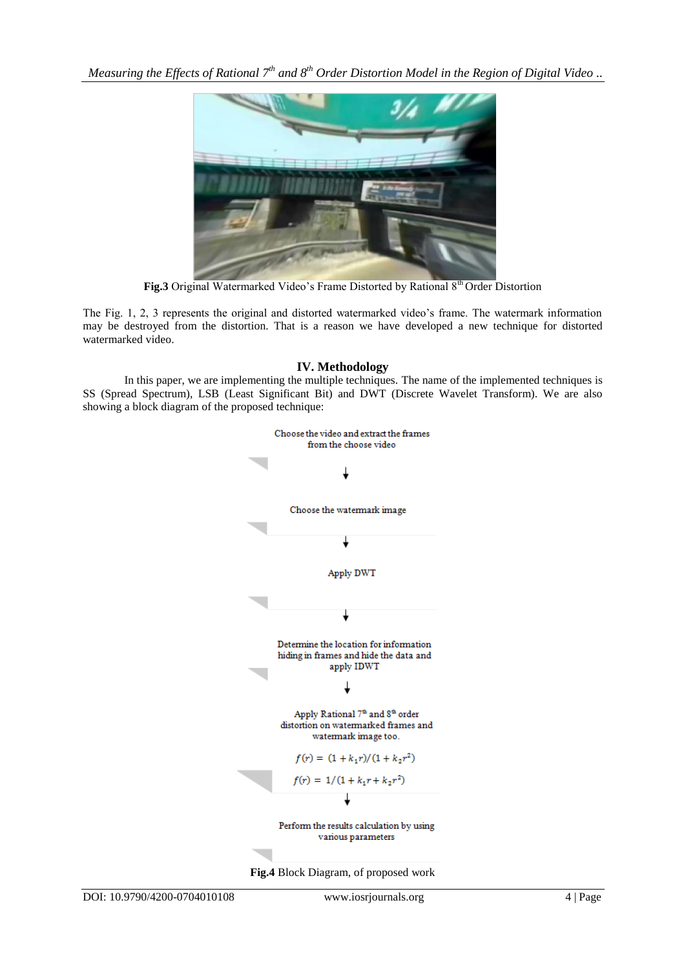*Measuring the Effects of Rational 7th and 8th Order Distortion Model in the Region of Digital Video ..*



Fig.3 Original Watermarked Video's Frame Distorted by Rational 8<sup>th</sup> Order Distortion

The Fig. 1, 2, 3 represents the original and distorted watermarked video's frame. The watermark information may be destroyed from the distortion. That is a reason we have developed a new technique for distorted watermarked video.

## **IV. Methodology**

In this paper, we are implementing the multiple techniques. The name of the implemented techniques is SS (Spread Spectrum), LSB (Least Significant Bit) and DWT (Discrete Wavelet Transform). We are also showing a block diagram of the proposed technique:

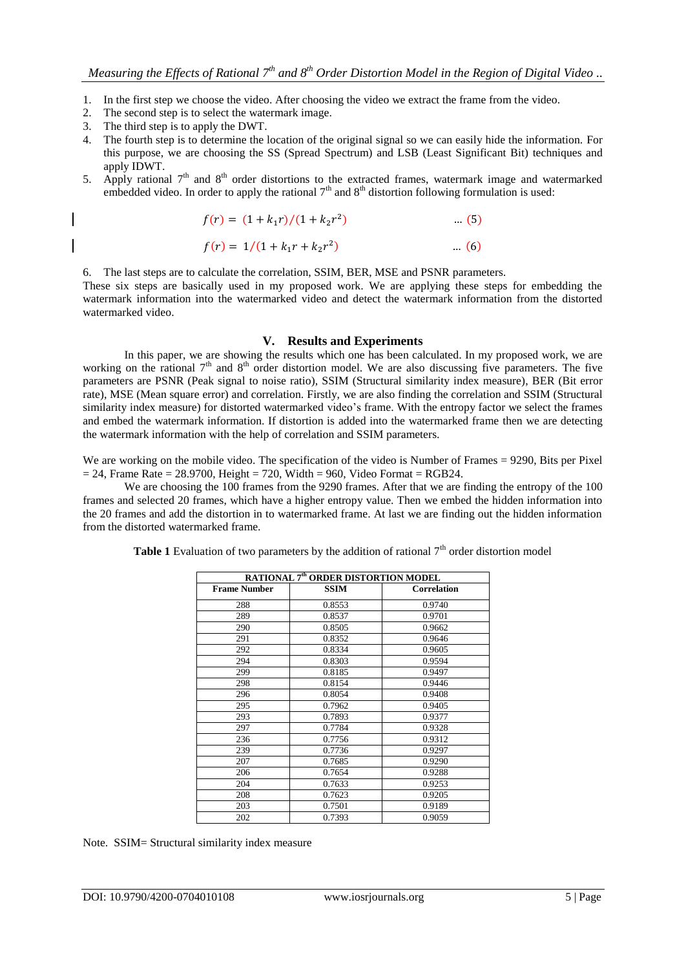- 1. In the first step we choose the video. After choosing the video we extract the frame from the video.
- 2. The second step is to select the watermark image.
- 3. The third step is to apply the DWT.
- 4. The fourth step is to determine the location of the original signal so we can easily hide the information. For this purpose, we are choosing the SS (Spread Spectrum) and LSB (Least Significant Bit) techniques and apply IDWT.
- 5. Apply rational  $7<sup>th</sup>$  and  $8<sup>th</sup>$  order distortions to the extracted frames, watermark image and watermarked embedded video. In order to apply the rational  $7<sup>th</sup>$  and  $8<sup>th</sup>$  distortion following formulation is used:

$$
f(r) = (1 + k_1 r)/(1 + k_2 r^2) \tag{5}
$$

$$
f(r) = 1/(1 + k_1 r + k_2 r^2) \tag{6}
$$

6. The last steps are to calculate the correlation, SSIM, BER, MSE and PSNR parameters.

These six steps are basically used in my proposed work. We are applying these steps for embedding the watermark information into the watermarked video and detect the watermark information from the distorted watermarked video.

#### **V. Results and Experiments**

In this paper, we are showing the results which one has been calculated. In my proposed work, we are working on the rational  $7<sup>th</sup>$  and  $8<sup>th</sup>$  order distortion model. We are also discussing five parameters. The five parameters are PSNR (Peak signal to noise ratio), SSIM (Structural similarity index measure), BER (Bit error rate), MSE (Mean square error) and correlation. Firstly, we are also finding the correlation and SSIM (Structural similarity index measure) for distorted watermarked video's frame. With the entropy factor we select the frames and embed the watermark information. If distortion is added into the watermarked frame then we are detecting the watermark information with the help of correlation and SSIM parameters.

We are working on the mobile video. The specification of the video is Number of Frames = 9290, Bits per Pixel  $= 24$ , Frame Rate  $= 28.9700$ , Height  $= 720$ , Width  $= 960$ , Video Format  $=$  RGB24.

We are choosing the 100 frames from the 9290 frames. After that we are finding the entropy of the 100 frames and selected 20 frames, which have a higher entropy value. Then we embed the hidden information into the 20 frames and add the distortion in to watermarked frame. At last we are finding out the hidden information from the distorted watermarked frame.

| RATIONAL 7 <sup>th</sup> ORDER DISTORTION MODEL |             |                    |  |  |  |
|-------------------------------------------------|-------------|--------------------|--|--|--|
| <b>Frame Number</b>                             | <b>SSIM</b> | <b>Correlation</b> |  |  |  |
| 288                                             | 0.8553      | 0.9740             |  |  |  |
| 289                                             | 0.8537      | 0.9701             |  |  |  |
| 290                                             | 0.8505      | 0.9662             |  |  |  |
| 291                                             | 0.8352      | 0.9646             |  |  |  |
| 292                                             | 0.8334      | 0.9605             |  |  |  |
| 294                                             | 0.8303      | 0.9594             |  |  |  |
| 299                                             | 0.8185      | 0.9497             |  |  |  |
| 298                                             | 0.8154      | 0.9446             |  |  |  |
| 296                                             | 0.8054      | 0.9408             |  |  |  |
| 295                                             | 0.7962      | 0.9405             |  |  |  |
| 293                                             | 0.7893      | 0.9377             |  |  |  |
| 297                                             | 0.7784      | 0.9328             |  |  |  |
| 236                                             | 0.7756      | 0.9312             |  |  |  |
| 239                                             | 0.7736      | 0.9297             |  |  |  |
| 207                                             | 0.7685      | 0.9290             |  |  |  |
| 206                                             | 0.7654      | 0.9288             |  |  |  |
| 204                                             | 0.7633      | 0.9253             |  |  |  |
| 208                                             | 0.7623      | 0.9205             |  |  |  |
| 203                                             | 0.7501      | 0.9189             |  |  |  |
| 202                                             | 0.7393      | 0.9059             |  |  |  |

**Table 1** Evaluation of two parameters by the addition of rational  $7<sup>th</sup>$  order distortion model

Note. SSIM= Structural similarity index measure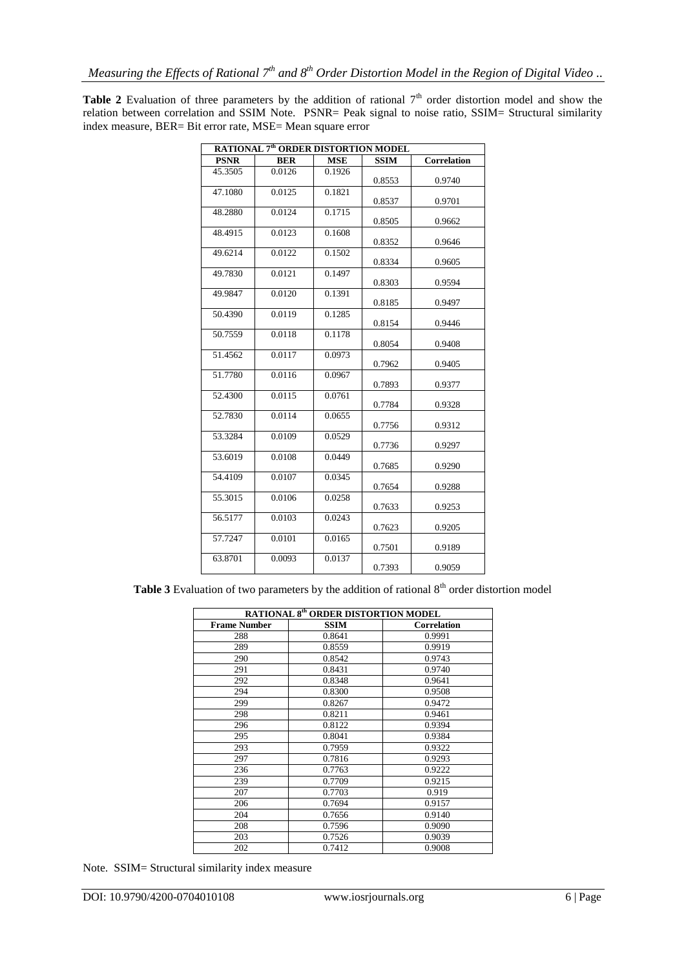**Table 2** Evaluation of three parameters by the addition of rational  $7<sup>th</sup>$  order distortion model and show the relation between correlation and SSIM Note. PSNR= Peak signal to noise ratio, SSIM= Structural similarity index measure, BER= Bit error rate, MSE= Mean square error

| RATIONAL 7 <sup>th</sup> ORDER DISTORTION MODEL |            |            |             |                    |
|-------------------------------------------------|------------|------------|-------------|--------------------|
| <b>PSNR</b>                                     | <b>BER</b> | <b>MSE</b> | <b>SSIM</b> | <b>Correlation</b> |
| 45.3505                                         | 0.0126     | 0.1926     | 0.8553      | 0.9740             |
| 47.1080                                         | 0.0125     | 0.1821     | 0.8537      | 0.9701             |
| 48.2880                                         | 0.0124     | 0.1715     | 0.8505      | 0.9662             |
| 48.4915                                         | 0.0123     | 0.1608     | 0.8352      | 0.9646             |
| 49.6214                                         | 0.0122     | 0.1502     | 0.8334      | 0.9605             |
| 49.7830                                         | 0.0121     | 0.1497     | 0.8303      | 0.9594             |
| 49.9847                                         | 0.0120     | 0.1391     | 0.8185      | 0.9497             |
| 50.4390                                         | 0.0119     | 0.1285     | 0.8154      | 0.9446             |
| 50.7559                                         | 0.0118     | 0.1178     | 0.8054      | 0.9408             |
| 51.4562                                         | 0.0117     | 0.0973     | 0.7962      | 0.9405             |
| 51.7780                                         | 0.0116     | 0.0967     | 0.7893      | 0.9377             |
| 52.4300                                         | 0.0115     | 0.0761     | 0.7784      | 0.9328             |
| 52.7830                                         | 0.0114     | 0.0655     | 0.7756      | 0.9312             |
| 53.3284                                         | 0.0109     | 0.0529     | 0.7736      | 0.9297             |
| 53.6019                                         | 0.0108     | 0.0449     | 0.7685      | 0.9290             |
| 54.4109                                         | 0.0107     | 0.0345     | 0.7654      | 0.9288             |
| 55.3015                                         | 0.0106     | 0.0258     | 0.7633      | 0.9253             |
| 56.5177                                         | 0.0103     | 0.0243     | 0.7623      | 0.9205             |
| 57.7247                                         | 0.0101     | 0.0165     | 0.7501      | 0.9189             |
| 63.8701                                         | 0.0093     | 0.0137     | 0.7393      | 0.9059             |

**Table 3** Evaluation of two parameters by the addition of rational  $8<sup>th</sup>$  order distortion model

| <b>RATIONAL 8th ORDER DISTORTION MODEL</b> |             |                    |  |  |  |
|--------------------------------------------|-------------|--------------------|--|--|--|
| <b>Frame Number</b>                        | <b>SSIM</b> | <b>Correlation</b> |  |  |  |
| 288                                        | 0.8641      | 0.9991             |  |  |  |
| 289                                        | 0.8559      | 0.9919             |  |  |  |
| 290                                        | 0.8542      | 0.9743             |  |  |  |
| 291                                        | 0.8431      | 0.9740             |  |  |  |
| 292                                        | 0.8348      | 0.9641             |  |  |  |
| 294                                        | 0.8300      | 0.9508             |  |  |  |
| 299                                        | 0.8267      | 0.9472             |  |  |  |
| 298                                        | 0.8211      | 0.9461             |  |  |  |
| 296                                        | 0.8122      | 0.9394             |  |  |  |
| 295                                        | 0.8041      | 0.9384             |  |  |  |
| 293                                        | 0.7959      | 0.9322             |  |  |  |
| 297                                        | 0.7816      | 0.9293             |  |  |  |
| 236                                        | 0.7763      | 0.9222             |  |  |  |
| 239                                        | 0.7709      | 0.9215             |  |  |  |
| 207                                        | 0.7703      | 0.919              |  |  |  |
| 206                                        | 0.7694      | 0.9157             |  |  |  |
| 204                                        | 0.7656      | 0.9140             |  |  |  |
| 208                                        | 0.7596      | 0.9090             |  |  |  |
| 203                                        | 0.7526      | 0.9039             |  |  |  |
| 202                                        | 0.7412      | 0.9008             |  |  |  |

Note. SSIM= Structural similarity index measure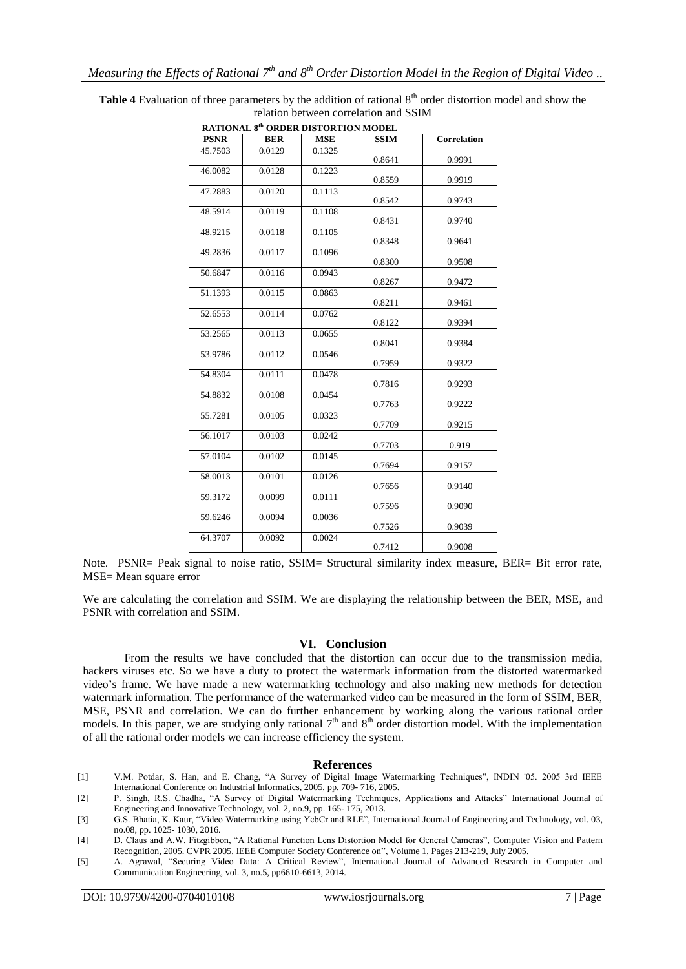| <b>RATIONAL 8th ORDER DISTORTION MODEL</b> |            |                     |             |             |
|--------------------------------------------|------------|---------------------|-------------|-------------|
| <b>PSNR</b>                                | <b>BER</b> | <b>MSE</b>          | <b>SSIM</b> | Correlation |
| 45.7503                                    | 0.0129     | 0.1325              | 0.8641      | 0.9991      |
| 46.0082                                    | 0.0128     | 0.1223              | 0.8559      | 0.9919      |
| 47.2883                                    | 0.0120     | 0.1113              | 0.8542      | 0.9743      |
| 48.5914                                    | 0.0119     | 0.1108              | 0.8431      | 0.9740      |
| 48.9215                                    | 0.0118     | $0.1\overline{105}$ | 0.8348      | 0.9641      |
| 49.2836                                    | 0.0117     | 0.1096              | 0.8300      | 0.9508      |
| 50.6847                                    | 0.0116     | 0.0943              | 0.8267      | 0.9472      |
| 51.1393                                    | 0.0115     | 0.0863              | 0.8211      | 0.9461      |
| 52.6553                                    | 0.0114     | 0.0762              | 0.8122      | 0.9394      |
| 53.2565                                    | 0.0113     | 0.0655              | 0.8041      | 0.9384      |
| 53.9786                                    | 0.0112     | 0.0546              | 0.7959      | 0.9322      |
| 54.8304                                    | 0.0111     | 0.0478              | 0.7816      | 0.9293      |
| 54.8832                                    | 0.0108     | 0.0454              | 0.7763      | 0.9222      |
| 55.7281                                    | 0.0105     | 0.0323              | 0.7709      | 0.9215      |
| 56.1017                                    | 0.0103     | 0.0242              | 0.7703      | 0.919       |
| 57.0104                                    | 0.0102     | 0.0145              | 0.7694      | 0.9157      |
| 58.0013                                    | 0.0101     | 0.0126              | 0.7656      | 0.9140      |
| 59.3172                                    | 0.0099     | 0.0111              | 0.7596      | 0.9090      |
| 59.6246                                    | 0.0094     | 0.0036              | 0.7526      | 0.9039      |
| 64.3707                                    | 0.0092     | 0.0024              | 0.7412      | 0.9008      |

**Table 4** Evaluation of three parameters by the addition of rational 8<sup>th</sup> order distortion model and show the relation between correlation and SSIM

Note. PSNR= Peak signal to noise ratio, SSIM= Structural similarity index measure, BER= Bit error rate, MSE= Mean square error

We are calculating the correlation and SSIM. We are displaying the relationship between the BER, MSE, and PSNR with correlation and SSIM.

### **VI. Conclusion**

From the results we have concluded that the distortion can occur due to the transmission media, hackers viruses etc. So we have a duty to protect the watermark information from the distorted watermarked video's frame. We have made a new watermarking technology and also making new methods for detection watermark information. The performance of the watermarked video can be measured in the form of SSIM, BER, MSE, PSNR and correlation. We can do further enhancement by working along the various rational order models. In this paper, we are studying only rational  $7<sup>th</sup>$  and  $8<sup>th</sup>$  order distortion model. With the implementation of all the rational order models we can increase efficiency the system.

### **References**

- [1] V.M. Potdar, S. Han, and E. Chang, "A Survey of Digital Image Watermarking Techniques", INDIN '05. 2005 3rd IEEE International Conference on Industrial Informatics, 2005, pp. 709- 716, 2005.
- [2] P. Singh, R.S. Chadha, "A Survey of Digital Watermarking Techniques, Applications and Attacks" International Journal of Engineering and Innovative Technology, vol. 2, no.9, pp. 165- 175, 2013.
- [3] G.S. Bhatia, K. Kaur, "Video Watermarking using YcbCr and RLE", International Journal of Engineering and Technology, vol. 03, no.08, pp. 1025- 1030, 2016.
- [4] D. Claus and A.W. Fitzgibbon, "A Rational Function Lens Distortion Model for General Cameras", [Computer Vision and Pattern](http://ieeexplore.ieee.org/xpl/mostRecentIssue.jsp?punumber=9901)  [Recognition, 2005. CVPR 2005. IEEE Computer Society Conference on"](http://ieeexplore.ieee.org/xpl/mostRecentIssue.jsp?punumber=9901), Volume 1, Pages 213-219, July 2005.
- [5] A. Agrawal, "Securing Video Data: A Critical Review", International Journal of Advanced Research in Computer and Communication Engineering, vol. 3, no.5, pp6610-6613, 2014.